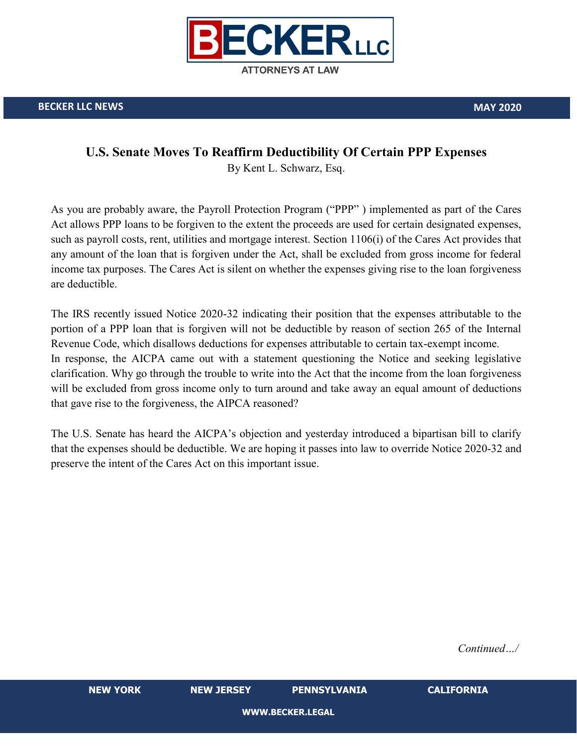

## **U.S. Senate Moves To Reaffirm Deductibility Of Certain PPP Expenses**

By Kent L. Schwarz, Esq.

As you are probably aware, the Payroll Protection Program ("PPP" ) implemented as part of the Cares Act allows PPP loans to be forgiven to the extent the proceeds are used for certain designated expenses, such as payroll costs, rent, utilities and mortgage interest. Section 1106(i) of the Cares Act provides that any amount of the loan that is forgiven under the Act, shall be excluded from gross income for federal income tax purposes. The Cares Act is silent on whether the expenses giving rise to the loan forgiveness are deductible.

The IRS recently issued Notice 2020-32 indicating their position that the expenses attributable to the portion of a PPP loan that is forgiven will not be deductible by reason of section 265 of the Internal Revenue Code, which disallows deductions for expenses attributable to certain tax-exempt income. In response, the AICPA came out with a statement questioning the Notice and seeking legislative clarification. Why go through the trouble to write into the Act that the income from the loan forgiveness will be excluded from gross income only to turn around and take away an equal amount of deductions that gave rise to the forgiveness, the AIPCA reasoned?

The U.S. Senate has heard the AICPA's objection and yesterday introduced a bipartisan bill to clarify that the expenses should be deductible. We are hoping it passes into law to override Notice 2020-32 and preserve the intent of the Cares Act on this important issue.

*Continued…/*